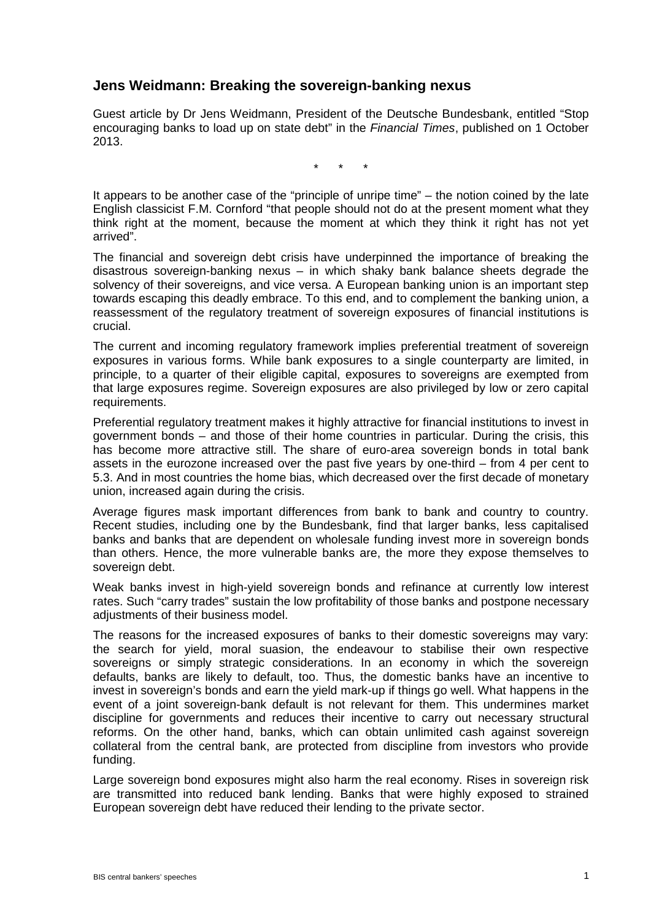## **Jens Weidmann: Breaking the sovereign-banking nexus**

Guest article by Dr Jens Weidmann, President of the Deutsche Bundesbank, entitled "Stop encouraging banks to load up on state debt" in the *Financial Times*, published on 1 October 2013.

\* \* \*

It appears to be another case of the "principle of unripe time" – the notion coined by the late English classicist F.M. Cornford "that people should not do at the present moment what they think right at the moment, because the moment at which they think it right has not yet arrived".

The financial and sovereign debt crisis have underpinned the importance of breaking the disastrous sovereign-banking nexus – in which shaky bank balance sheets degrade the solvency of their sovereigns, and vice versa. A European banking union is an important step towards escaping this deadly embrace. To this end, and to complement the banking union, a reassessment of the regulatory treatment of sovereign exposures of financial institutions is crucial.

The current and incoming regulatory framework implies preferential treatment of sovereign exposures in various forms. While bank exposures to a single counterparty are limited, in principle, to a quarter of their eligible capital, exposures to sovereigns are exempted from that large exposures regime. Sovereign exposures are also privileged by low or zero capital requirements.

Preferential regulatory treatment makes it highly attractive for financial institutions to invest in government bonds – and those of their home countries in particular. During the crisis, this has become more attractive still. The share of euro-area sovereign bonds in total bank assets in the eurozone increased over the past five years by one-third – from 4 per cent to 5.3. And in most countries the home bias, which decreased over the first decade of monetary union, increased again during the crisis.

Average figures mask important differences from bank to bank and country to country. Recent studies, including one by the Bundesbank, find that larger banks, less capitalised banks and banks that are dependent on wholesale funding invest more in sovereign bonds than others. Hence, the more vulnerable banks are, the more they expose themselves to sovereign debt.

Weak banks invest in high-yield sovereign bonds and refinance at currently low interest rates. Such "carry trades" sustain the low profitability of those banks and postpone necessary adjustments of their business model.

The reasons for the increased exposures of banks to their domestic sovereigns may vary: the search for yield, moral suasion, the endeavour to stabilise their own respective sovereigns or simply strategic considerations. In an economy in which the sovereign defaults, banks are likely to default, too. Thus, the domestic banks have an incentive to invest in sovereign's bonds and earn the yield mark-up if things go well. What happens in the event of a joint sovereign-bank default is not relevant for them. This undermines market discipline for governments and reduces their incentive to carry out necessary structural reforms. On the other hand, banks, which can obtain unlimited cash against sovereign collateral from the central bank, are protected from discipline from investors who provide funding.

Large sovereign bond exposures might also harm the real economy. Rises in sovereign risk are transmitted into reduced bank lending. Banks that were highly exposed to strained European sovereign debt have reduced their lending to the private sector.